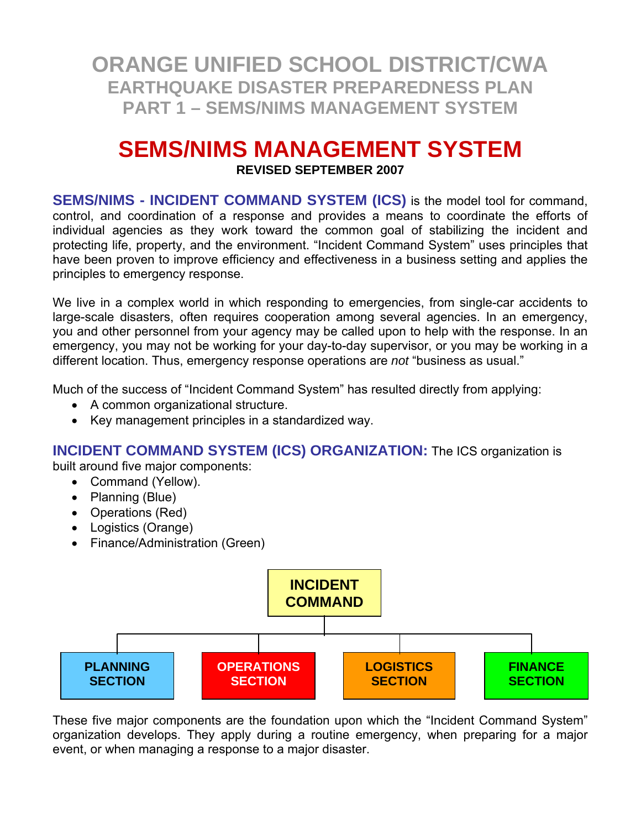# **SEMS/NIMS MANAGEMENT SYSTEM**

**REVISED SEPTEMBER 2007** 

**SEMS/NIMS - INCIDENT COMMAND SYSTEM (ICS)** is the model tool for command, control, and coordination of a response and provides a means to coordinate the efforts of individual agencies as they work toward the common goal of stabilizing the incident and protecting life, property, and the environment. "Incident Command System" uses principles that have been proven to improve efficiency and effectiveness in a business setting and applies the principles to emergency response.

We live in a complex world in which responding to emergencies, from single-car accidents to large-scale disasters, often requires cooperation among several agencies. In an emergency, you and other personnel from your agency may be called upon to help with the response. In an emergency, you may not be working for your day-to-day supervisor, or you may be working in a different location. Thus, emergency response operations are *not* "business as usual."

Much of the success of "Incident Command System" has resulted directly from applying:

- A common organizational structure.
- Key management principles in a standardized way.

**INCIDENT COMMAND SYSTEM (ICS) ORGANIZATION:** The ICS organization is

built around five major components:

- Command (Yellow).
- Planning (Blue)
- Operations (Red)
- Logistics (Orange)
- Finance/Administration (Green)



These five major components are the foundation upon which the "Incident Command System" organization develops. They apply during a routine emergency, when preparing for a major event, or when managing a response to a major disaster.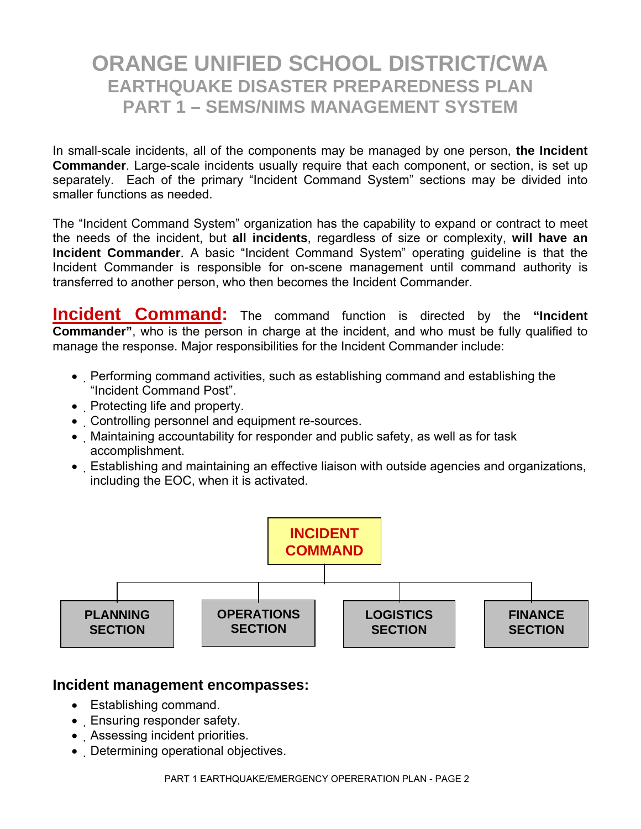In small-scale incidents, all of the components may be managed by one person, **the Incident Commander**. Large-scale incidents usually require that each component, or section, is set up separately. Each of the primary "Incident Command System" sections may be divided into smaller functions as needed.

The "Incident Command System" organization has the capability to expand or contract to meet the needs of the incident, but **all incidents**, regardless of size or complexity, **will have an Incident Commander**. A basic "Incident Command System" operating guideline is that the Incident Commander is responsible for on-scene management until command authority is transferred to another person, who then becomes the Incident Commander.

**Incident Command:** The command function is directed by the "Incident **Commander"**, who is the person in charge at the incident, and who must be fully qualified to manage the response. Major responsibilities for the Incident Commander include:

- Performing command activities, such as establishing command and establishing the "Incident Command Post".
- Protecting life and property.
- Controlling personnel and equipment re-sources.
- Maintaining accountability for responder and public safety, as well as for task accomplishment.
- Establishing and maintaining an effective liaison with outside agencies and organizations, including the EOC, when it is activated.



### **Incident management encompasses:**

- Establishing command.
- Ensuring responder safety.
- Assessing incident priorities.
- Determining operational objectives.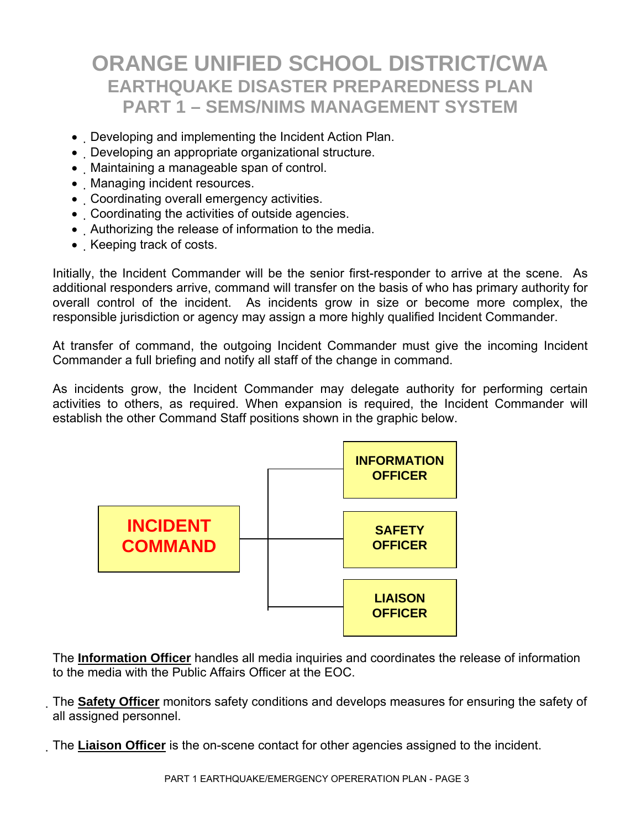- Developing and implementing the Incident Action Plan.
- Developing an appropriate organizational structure.
- Maintaining a manageable span of control.
- Managing incident resources.
- Coordinating overall emergency activities.
- Coordinating the activities of outside agencies.
- Authorizing the release of information to the media.
- Keeping track of costs.

Initially, the Incident Commander will be the senior first-responder to arrive at the scene. As additional responders arrive, command will transfer on the basis of who has primary authority for overall control of the incident. As incidents grow in size or become more complex, the responsible jurisdiction or agency may assign a more highly qualified Incident Commander.

At transfer of command, the outgoing Incident Commander must give the incoming Incident Commander a full briefing and notify all staff of the change in command.

As incidents grow, the Incident Commander may delegate authority for performing certain activities to others, as required. When expansion is required, the Incident Commander will establish the other Command Staff positions shown in the graphic below.



The **Information Officer** handles all media inquiries and coordinates the release of information to the media with the Public Affairs Officer at the EOC.

The **Safety Officer** monitors safety conditions and develops measures for ensuring the safety of all assigned personnel.

The **Liaison Officer** is the on-scene contact for other agencies assigned to the incident.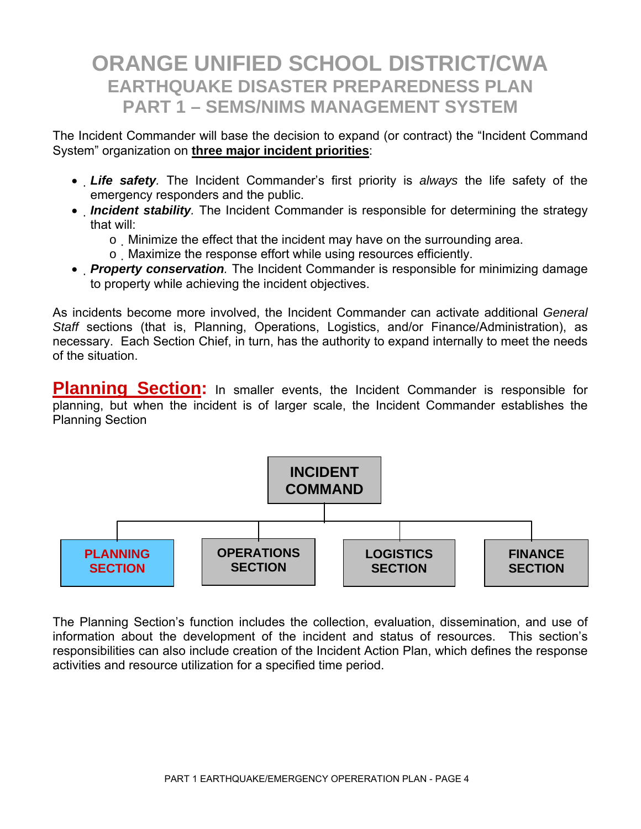The Incident Commander will base the decision to expand (or contract) the "Incident Command System" organization on **three major incident priorities**:

- *Life safety.* The Incident Commander's first priority is *always* the life safety of the emergency responders and the public.
- *Incident stability*. The Incident Commander is responsible for determining the strategy that will:
	- o Minimize the effect that the incident may have on the surrounding area.
	- o Maximize the response effort while using resources efficiently.
- *Property conservation.* The Incident Commander is responsible for minimizing damage to property while achieving the incident objectives.

As incidents become more involved, the Incident Commander can activate additional *General Staff* sections (that is, Planning, Operations, Logistics, and/or Finance/Administration), as necessary. Each Section Chief, in turn, has the authority to expand internally to meet the needs of the situation.

**Planning Section:** In smaller events, the Incident Commander is responsible for planning, but when the incident is of larger scale, the Incident Commander establishes the Planning Section



The Planning Section's function includes the collection, evaluation, dissemination, and use of information about the development of the incident and status of resources. This section's responsibilities can also include creation of the Incident Action Plan, which defines the response activities and resource utilization for a specified time period.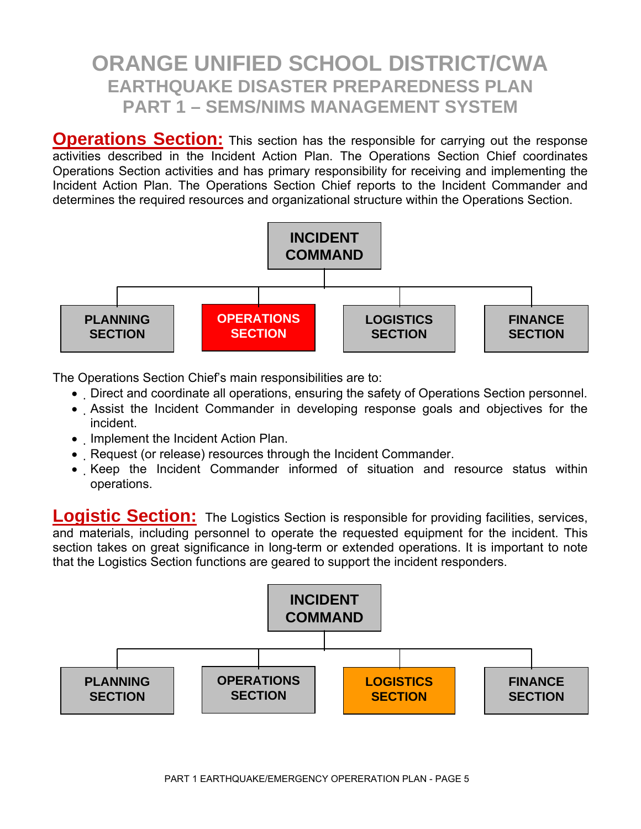**Operations Section:** This section has the responsible for carrying out the response activities described in the Incident Action Plan. The Operations Section Chief coordinates Operations Section activities and has primary responsibility for receiving and implementing the Incident Action Plan. The Operations Section Chief reports to the Incident Commander and determines the required resources and organizational structure within the Operations Section.



The Operations Section Chief's main responsibilities are to:

- Direct and coordinate all operations, ensuring the safety of Operations Section personnel.
- Assist the Incident Commander in developing response goals and objectives for the incident.
- Implement the Incident Action Plan.
- Request (or release) resources through the Incident Commander.
- Keep the Incident Commander informed of situation and resource status within operations.

**Logistic Section:** The Logistics Section is responsible for providing facilities, services, and materials, including personnel to operate the requested equipment for the incident. This section takes on great significance in long-term or extended operations. It is important to note that the Logistics Section functions are geared to support the incident responders.

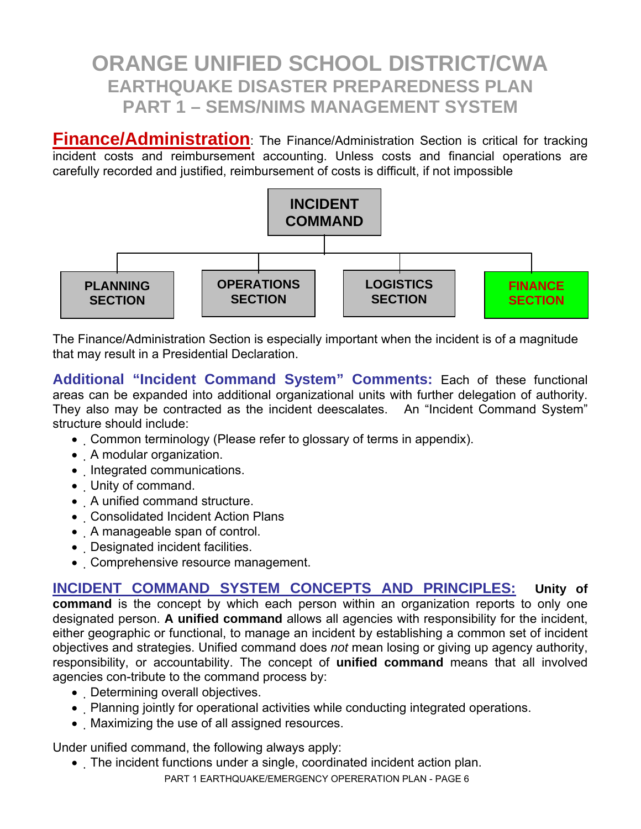**Finance/Administration**: The Finance/Administration Section is critical for tracking incident costs and reimbursement accounting. Unless costs and financial operations are carefully recorded and justified, reimbursement of costs is difficult, if not impossible



The Finance/Administration Section is especially important when the incident is of a magnitude that may result in a Presidential Declaration.

**Additional "Incident Command System" Comments:** Each of these functional areas can be expanded into additional organizational units with further delegation of authority. They also may be contracted as the incident deescalates. An "Incident Command System" structure should include:

- Common terminology (Please refer to glossary of terms in appendix).
- A modular organization.
- Integrated communications.
- Unity of command.
- A unified command structure.
- Consolidated Incident Action Plans
- A manageable span of control.
- Designated incident facilities.
- Comprehensive resource management.

**INCIDENT COMMAND SYSTEM CONCEPTS AND PRINCIPLES:****Unity of command** is the concept by which each person within an organization reports to only one designated person. **A unified command** allows all agencies with responsibility for the incident, either geographic or functional, to manage an incident by establishing a common set of incident objectives and strategies. Unified command does *not* mean losing or giving up agency authority, responsibility, or accountability. The concept of **unified command** means that all involved agencies con-tribute to the command process by:

- Determining overall objectives.
- Planning jointly for operational activities while conducting integrated operations.
- Maximizing the use of all assigned resources.

Under unified command, the following always apply:

PART 1 EARTHQUAKE/EMERGENCY OPERERATION PLAN - PAGE 6 • The incident functions under a single, coordinated incident action plan.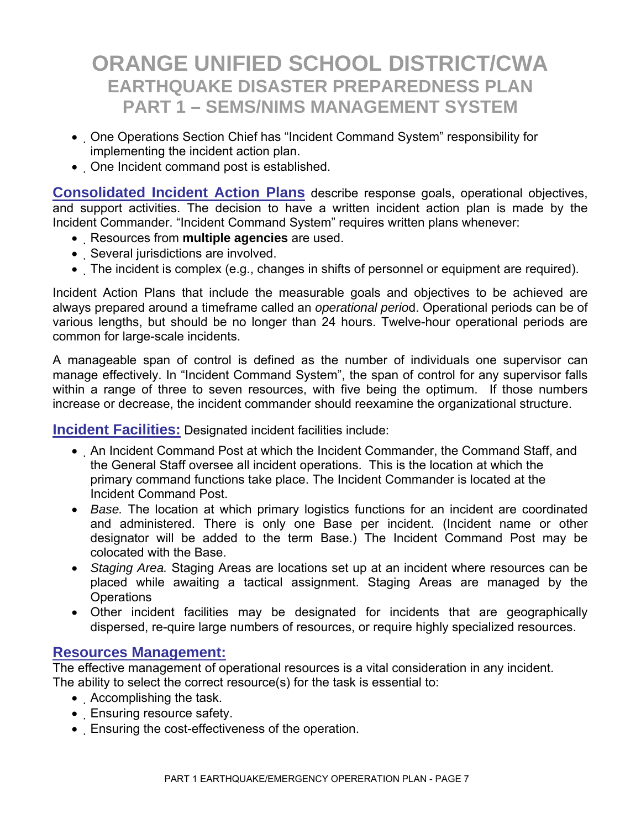- One Operations Section Chief has "Incident Command System" responsibility for implementing the incident action plan.
- One Incident command post is established.

**Consolidated Incident Action Plans** describe response goals, operational objectives, and support activities. The decision to have a written incident action plan is made by the Incident Commander. "Incident Command System" requires written plans whenever:

- Resources from **multiple agencies** are used.
- Several jurisdictions are involved.
- The incident is complex (e.g., changes in shifts of personnel or equipment are required).

Incident Action Plans that include the measurable goals and objectives to be achieved are always prepared around a timeframe called an *operational perio*d. Operational periods can be of various lengths, but should be no longer than 24 hours. Twelve-hour operational periods are common for large-scale incidents.

A manageable span of control is defined as the number of individuals one supervisor can manage effectively. In "Incident Command System", the span of control for any supervisor falls within a range of three to seven resources, with five being the optimum. If those numbers increase or decrease, the incident commander should reexamine the organizational structure.

**Incident Facilities:** Designated incident facilities include:

- An Incident Command Post at which the Incident Commander, the Command Staff, and the General Staff oversee all incident operations. This is the location at which the primary command functions take place. The Incident Commander is located at the Incident Command Post.
- *Base.* The location at which primary logistics functions for an incident are coordinated and administered. There is only one Base per incident. (Incident name or other designator will be added to the term Base.) The Incident Command Post may be colocated with the Base.
- *Staging Area.* Staging Areas are locations set up at an incident where resources can be placed while awaiting a tactical assignment. Staging Areas are managed by the **Operations**
- Other incident facilities may be designated for incidents that are geographically dispersed, re-quire large numbers of resources, or require highly specialized resources.

### **Resources Management:**

The effective management of operational resources is a vital consideration in any incident. The ability to select the correct resource(s) for the task is essential to:

- Accomplishing the task.
- Ensuring resource safety.
- Ensuring the cost-effectiveness of the operation.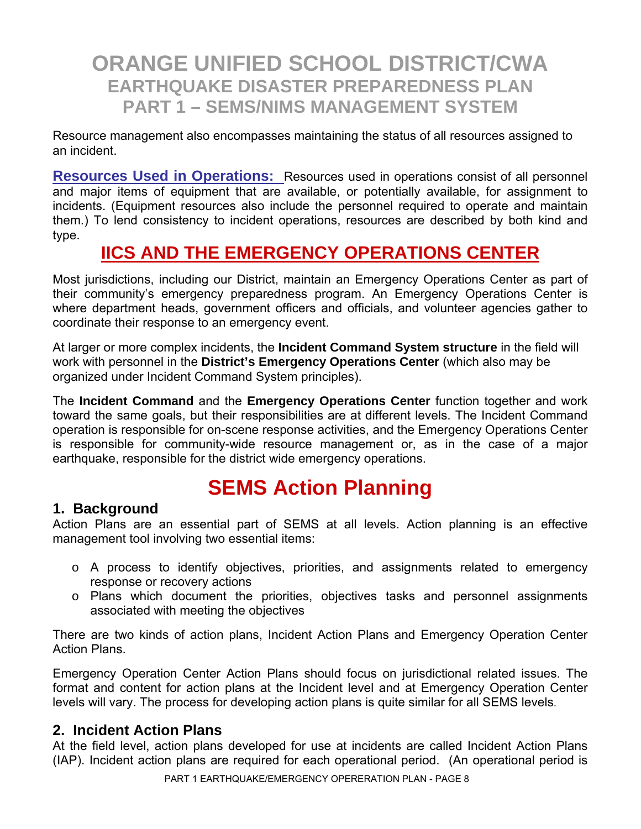Resource management also encompasses maintaining the status of all resources assigned to an incident.

**Resources Used in Operations:** Resources used in operations consist of all personnel and major items of equipment that are available, or potentially available, for assignment to incidents. (Equipment resources also include the personnel required to operate and maintain them.) To lend consistency to incident operations, resources are described by both kind and type.

## **IICS AND THE EMERGENCY OPERATIONS CENTER**

Most jurisdictions, including our District, maintain an Emergency Operations Center as part of their community's emergency preparedness program. An Emergency Operations Center is where department heads, government officers and officials, and volunteer agencies gather to coordinate their response to an emergency event.

At larger or more complex incidents, the **Incident Command System structure** in the field will work with personnel in the **District's Emergency Operations Center** (which also may be organized under Incident Command System principles).

The **Incident Command** and the **Emergency Operations Center** function together and work toward the same goals, but their responsibilities are at different levels. The Incident Command operation is responsible for on-scene response activities, and the Emergency Operations Center is responsible for community-wide resource management or, as in the case of a major earthquake, responsible for the district wide emergency operations.

# **SEMS Action Planning**

### **1. Background**

Action Plans are an essential part of SEMS at all levels. Action planning is an effective management tool involving two essential items:

- o A process to identify objectives, priorities, and assignments related to emergency response or recovery actions
- o Plans which document the priorities, objectives tasks and personnel assignments associated with meeting the objectives

There are two kinds of action plans, Incident Action Plans and Emergency Operation Center Action Plans.

Emergency Operation Center Action Plans should focus on jurisdictional related issues. The format and content for action plans at the Incident level and at Emergency Operation Center levels will vary. The process for developing action plans is quite similar for all SEMS levels.

### **2. Incident Action Plans**

At the field level, action plans developed for use at incidents are called Incident Action Plans (IAP). Incident action plans are required for each operational period. (An operational period is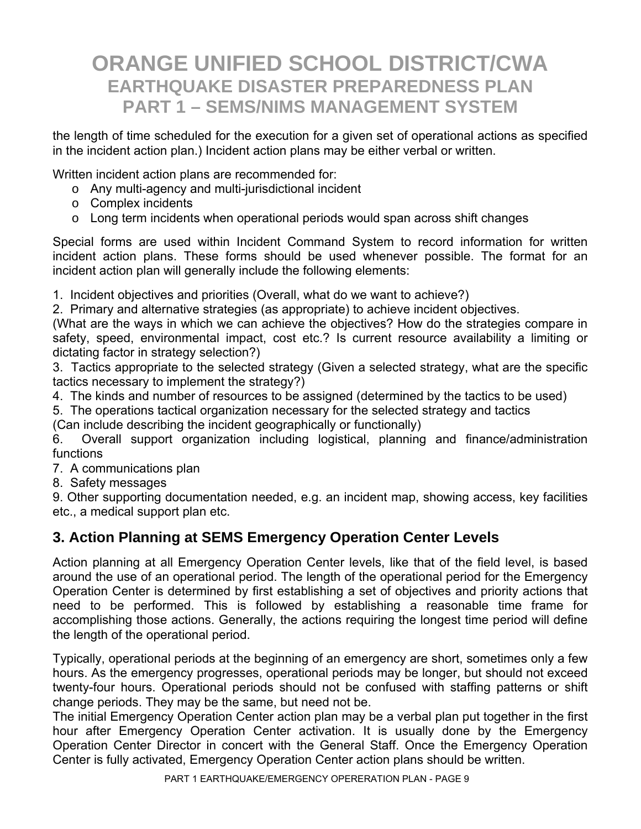the length of time scheduled for the execution for a given set of operational actions as specified in the incident action plan.) Incident action plans may be either verbal or written.

Written incident action plans are recommended for:

- o Any multi-agency and multi-jurisdictional incident
- o Complex incidents
- o Long term incidents when operational periods would span across shift changes

Special forms are used within Incident Command System to record information for written incident action plans. These forms should be used whenever possible. The format for an incident action plan will generally include the following elements:

1. Incident objectives and priorities (Overall, what do we want to achieve?)

2. Primary and alternative strategies (as appropriate) to achieve incident objectives.

(What are the ways in which we can achieve the objectives? How do the strategies compare in safety, speed, environmental impact, cost etc.? Is current resource availability a limiting or dictating factor in strategy selection?)

3. Tactics appropriate to the selected strategy (Given a selected strategy, what are the specific tactics necessary to implement the strategy?)

4. The kinds and number of resources to be assigned (determined by the tactics to be used)

5. The operations tactical organization necessary for the selected strategy and tactics

(Can include describing the incident geographically or functionally)

6. Overall support organization including logistical, planning and finance/administration functions

7. A communications plan

8. Safety messages

9. Other supporting documentation needed, e.g. an incident map, showing access, key facilities etc., a medical support plan etc.

### **3. Action Planning at SEMS Emergency Operation Center Levels**

Action planning at all Emergency Operation Center levels, like that of the field level, is based around the use of an operational period. The length of the operational period for the Emergency Operation Center is determined by first establishing a set of objectives and priority actions that need to be performed. This is followed by establishing a reasonable time frame for accomplishing those actions. Generally, the actions requiring the longest time period will define the length of the operational period.

Typically, operational periods at the beginning of an emergency are short, sometimes only a few hours. As the emergency progresses, operational periods may be longer, but should not exceed twenty-four hours. Operational periods should not be confused with staffing patterns or shift change periods. They may be the same, but need not be.

The initial Emergency Operation Center action plan may be a verbal plan put together in the first hour after Emergency Operation Center activation. It is usually done by the Emergency Operation Center Director in concert with the General Staff. Once the Emergency Operation Center is fully activated, Emergency Operation Center action plans should be written.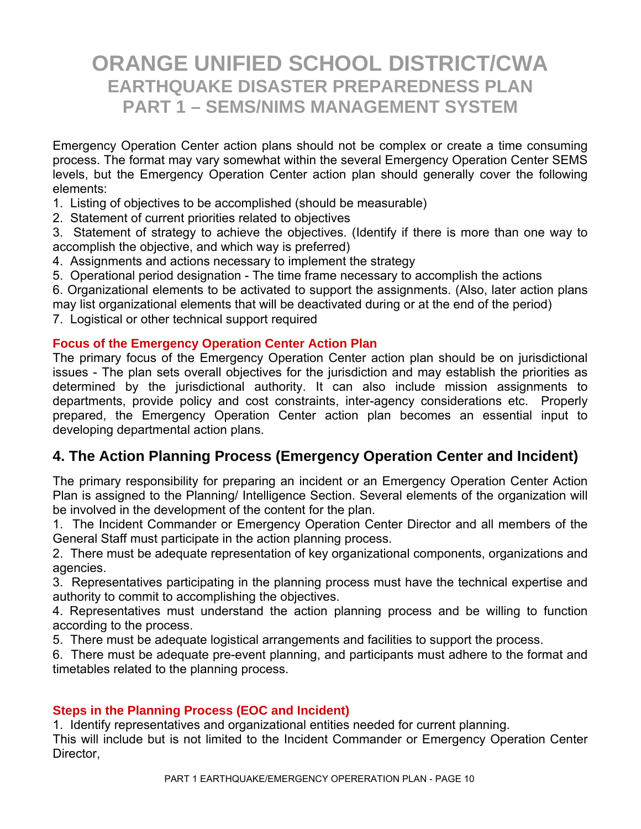Emergency Operation Center action plans should not be complex or create a time consuming process. The format may vary somewhat within the several Emergency Operation Center SEMS levels, but the Emergency Operation Center action plan should generally cover the following elements:

1. Listing of objectives to be accomplished (should be measurable)

2. Statement of current priorities related to objectives

3. Statement of strategy to achieve the objectives. (Identify if there is more than one way to accomplish the objective, and which way is preferred)

4. Assignments and actions necessary to implement the strategy

5. Operational period designation - The time frame necessary to accomplish the actions

6. Organizational elements to be activated to support the assignments. (Also, later action plans may list organizational elements that will be deactivated during or at the end of the period)

7. Logistical or other technical support required

#### **Focus of the Emergency Operation Center Action Plan**

The primary focus of the Emergency Operation Center action plan should be on jurisdictional issues - The plan sets overall objectives for the jurisdiction and may establish the priorities as determined by the jurisdictional authority. It can also include mission assignments to departments, provide policy and cost constraints, inter-agency considerations etc. Properly prepared, the Emergency Operation Center action plan becomes an essential input to developing departmental action plans.

### **4. The Action Planning Process (Emergency Operation Center and Incident)**

The primary responsibility for preparing an incident or an Emergency Operation Center Action Plan is assigned to the Planning/ Intelligence Section. Several elements of the organization will be involved in the development of the content for the plan.

1. The Incident Commander or Emergency Operation Center Director and all members of the General Staff must participate in the action planning process.

2. There must be adequate representation of key organizational components, organizations and agencies.

3. Representatives participating in the planning process must have the technical expertise and authority to commit to accomplishing the objectives.

4. Representatives must understand the action planning process and be willing to function according to the process.

5. There must be adequate logistical arrangements and facilities to support the process.

6. There must be adequate pre-event planning, and participants must adhere to the format and timetables related to the planning process.

### **Steps in the Planning Process (EOC and Incident)**

1. Identify representatives and organizational entities needed for current planning. This will include but is not limited to the Incident Commander or Emergency Operation Center Director,